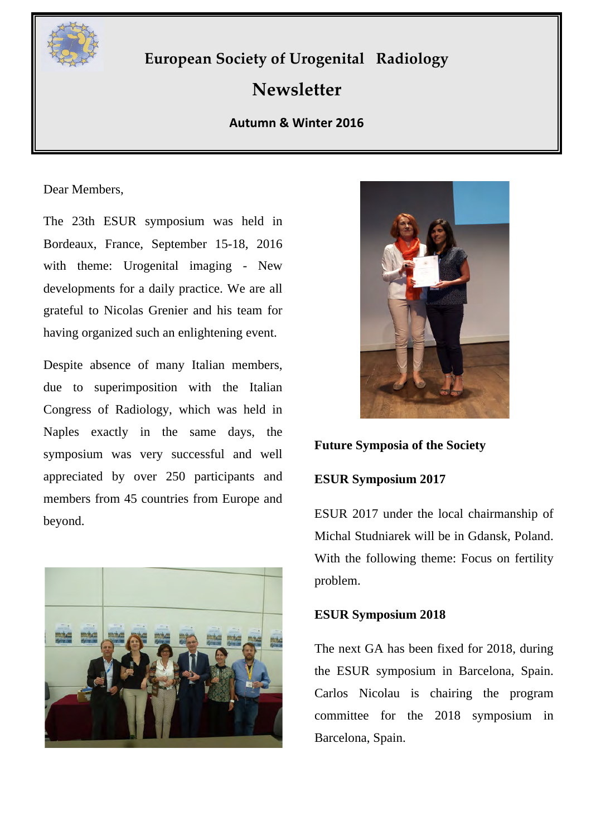

# **European Society of Urogenital Radiology**

# **Newsletter**

## **Autumn & Winter 2016**

Dear Members,

The 23th ESUR symposium was held in Bordeaux, France, September 15-18, 2016 with theme: Urogenital imaging - New developments for a daily practice. We are all grateful to Nicolas Grenier and his team for having organized such an enlightening event.

Despite absence of many Italian members, due to superimposition with the Italian Congress of Radiology, which was held in Naples exactly in the same days, the symposium was very successful and well appreciated by over 250 participants and members from 45 countries from Europe and beyond.





**Future Symposia of the Society**

#### **ESUR Symposium 2017**

ESUR 2017 under the local chairmanship of Michal Studniarek will be in Gdansk, Poland. With the following theme: Focus on fertility problem.

## **ESUR Symposium 2018**

The next GA has been fixed for 2018, during the ESUR symposium in Barcelona, Spain. Carlos Nicolau is chairing the program committee for the 2018 symposium in Barcelona, Spain.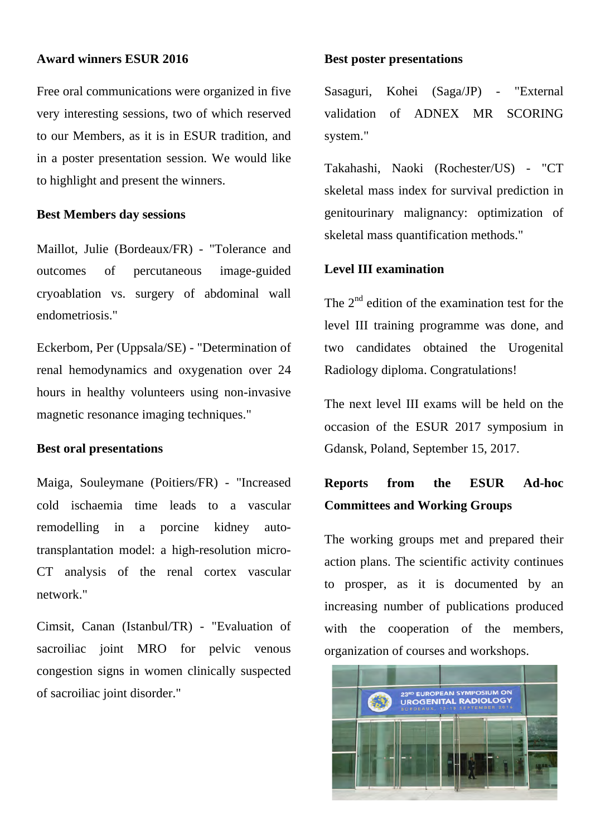#### **Award winners ESUR 2016**

Free oral communications were organized in five very interesting sessions, two of which reserved to our Members, as it is in ESUR tradition, and in a poster presentation session. We would like to highlight and present the winners.

#### **Best Members day sessions**

Maillot, Julie (Bordeaux/FR) - "Tolerance and outcomes of percutaneous image-guided cryoablation vs. surgery of abdominal wall endometriosis."

Eckerbom, Per (Uppsala/SE) - "Determination of renal hemodynamics and oxygenation over 24 hours in healthy volunteers using non-invasive magnetic resonance imaging techniques."

#### **Best oral presentations**

Maiga, Souleymane (Poitiers/FR) - "Increased cold ischaemia time leads to a vascular remodelling in a porcine kidney autotransplantation model: a high-resolution micro-CT analysis of the renal cortex vascular network."

Cimsit, Canan (Istanbul/TR) - "Evaluation of sacroiliac joint MRO for pelvic venous congestion signs in women clinically suspected of sacroiliac joint disorder."

#### **Best poster presentations**

Sasaguri, Kohei (Saga/JP) - "External validation of ADNEX MR SCORING system."

Takahashi, Naoki (Rochester/US) - "CT skeletal mass index for survival prediction in genitourinary malignancy: optimization of skeletal mass quantification methods."

#### **Level III examination**

The  $2<sup>nd</sup>$  edition of the examination test for the level III training programme was done, and two candidates obtained the Urogenital Radiology diploma. Congratulations!

The next level III exams will be held on the occasion of the ESUR 2017 symposium in Gdansk, Poland, September 15, 2017.

## **Reports from the ESUR Ad-hoc Committees and Working Groups**

The working groups met and prepared their action plans. The scientific activity continues to prosper, as it is documented by an increasing number of publications produced with the cooperation of the members, organization of courses and workshops.

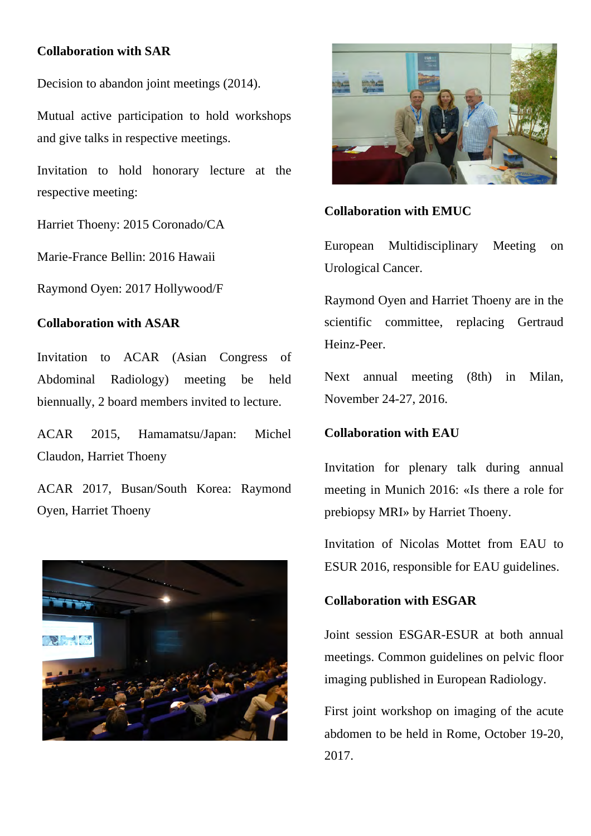## **Collaboration with SAR**

Decision to abandon joint meetings (2014).

Mutual active participation to hold workshops and give talks in respective meetings.

Invitation to hold honorary lecture at the respective meeting:

Harriet Thoeny: 2015 Coronado/CA

Marie-France Bellin: 2016 Hawaii

Raymond Oyen: 2017 Hollywood/F

## **Collaboration with ASAR**

Invitation to ACAR (Asian Congress of Abdominal Radiology) meeting be held biennually, 2 board members invited to lecture.

ACAR 2015, Hamamatsu/Japan: Michel Claudon, Harriet Thoeny

ACAR 2017, Busan/South Korea: Raymond Oyen, Harriet Thoeny





## **Collaboration with EMUC**

European Multidisciplinary Meeting on Urological Cancer.

Raymond Oyen and Harriet Thoeny are in the scientific committee, replacing Gertraud Heinz-Peer.

Next annual meeting (8th) in Milan, November 24-27, 2016.

## **Collaboration with EAU**

Invitation for plenary talk during annual meeting in Munich 2016: «Is there a role for prebiopsy MRI» by Harriet Thoeny.

Invitation of Nicolas Mottet from EAU to ESUR 2016, responsible for EAU guidelines.

## **Collaboration with ESGAR**

Joint session ESGAR-ESUR at both annual meetings. Common guidelines on pelvic floor imaging published in European Radiology.

First joint workshop on imaging of the acute abdomen to be held in Rome, October 19-20, 2017.